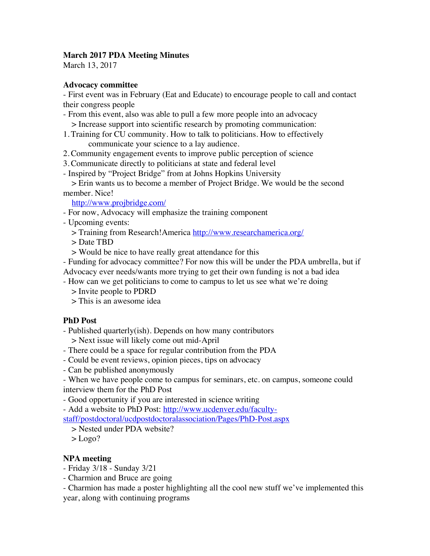### **March 2017 PDA Meeting Minutes**

March 13, 2017

### **Advocacy committee**

- First event was in February (Eat and Educate) to encourage people to call and contact their congress people

- From this event, also was able to pull a few more people into an advocacy > Increase support into scientific research by promoting communication:
- 1. Training for CU community. How to talk to politicians. How to effectively communicate your science to a lay audience.
- 2. Community engagement events to improve public perception of science
- 3. Communicate directly to politicians at state and federal level
- Inspired by "Project Bridge" from at Johns Hopkins University

> Erin wants us to become a member of Project Bridge. We would be the second member. Nice!

http://www.projbridge.com/

- For now, Advocacy will emphasize the training component
- Upcoming events:
	- > Training from Research!America http://www.researchamerica.org/
	- > Date TBD
	- > Would be nice to have really great attendance for this
- Funding for advocacy committee? For now this will be under the PDA umbrella, but if Advocacy ever needs/wants more trying to get their own funding is not a bad idea

- How can we get politicians to come to campus to let us see what we're doing

> Invite people to PDRD

> This is an awesome idea

# **PhD Post**

- Published quarterly(ish). Depends on how many contributors

- > Next issue will likely come out mid-April
- There could be a space for regular contribution from the PDA
- Could be event reviews, opinion pieces, tips on advocacy
- Can be published anonymously

- When we have people come to campus for seminars, etc. on campus, someone could interview them for the PhD Post

- Good opportunity if you are interested in science writing

- Add a website to PhD Post: http://www.ucdenver.edu/faculty-

staff/postdoctoral/ucdpostdoctoralassociation/Pages/PhD-Post.aspx

> Nested under PDA website?

 $>$ Logo?

# **NPA meeting**

- Friday 3/18 Sunday 3/21
- Charmion and Bruce are going

- Charmion has made a poster highlighting all the cool new stuff we've implemented this year, along with continuing programs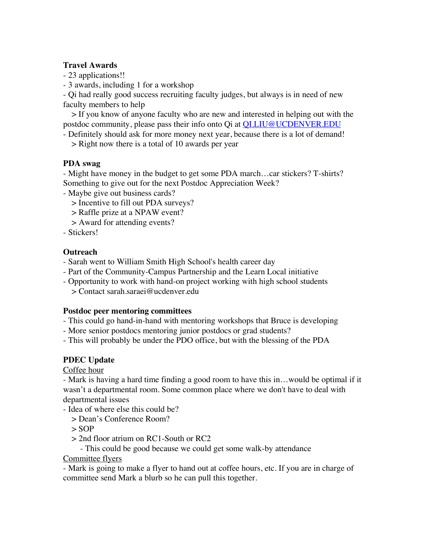### **Travel Awards**

- 23 applications!!
- 3 awards, including 1 for a workshop

- Qi had really good success recruiting faculty judges, but always is in need of new faculty members to help

> If you know of anyone faculty who are new and interested in helping out with the postdoc community, please pass their info onto Qi at QI.LIU@UCDENVER.EDU

- Definitely should ask for more money next year, because there is a lot of demand!

> Right now there is a total of 10 awards per year

### **PDA swag**

- Might have money in the budget to get some PDA march…car stickers? T-shirts? Something to give out for the next Postdoc Appreciation Week?

- Maybe give out business cards?
	- > Incentive to fill out PDA surveys?
	- > Raffle prize at a NPAW event?
	- > Award for attending events?
- Stickers!

### **Outreach**

- Sarah went to William Smith High School's health career day
- Part of the Community-Campus Partnership and the Learn Local initiative
- Opportunity to work with hand-on project working with high school students > Contact sarah.saraei@ucdenver.edu

#### **Postdoc peer mentoring committees**

- This could go hand-in-hand with mentoring workshops that Bruce is developing
- More senior postdocs mentoring junior postdocs or grad students?

- This will probably be under the PDO office, but with the blessing of the PDA

# **PDEC Update**

# Coffee hour

- Mark is having a hard time finding a good room to have this in…would be optimal if it wasn't a departmental room. Some common place where we don't have to deal with departmental issues

- Idea of where else this could be?

- > Dean's Conference Room?
- > SOP
- > 2nd floor atrium on RC1-South or RC2

- This could be good because we could get some walk-by attendance

# Committee flyers

- Mark is going to make a flyer to hand out at coffee hours, etc. If you are in charge of committee send Mark a blurb so he can pull this together.